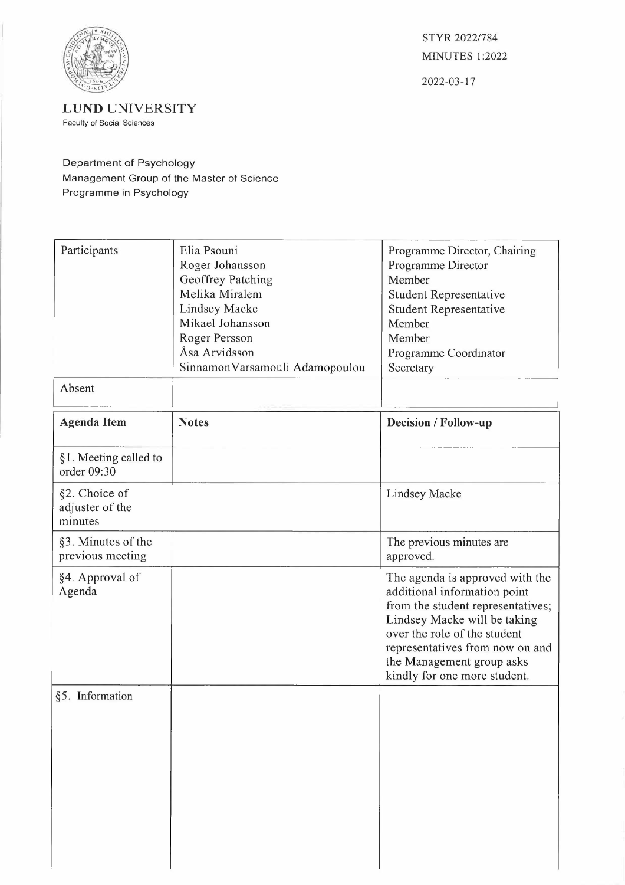

STYR 2022/784 **MINUTES 1:2022** 

2022-03-17

**LUND** UNIVERSITY Faculty of Social Sciences

## Department of Psychology Management Group of the Master of Science Programme in Psychology

| Participants                                | Elia Psouni<br>Roger Johansson<br>Geoffrey Patching<br>Melika Miralem<br><b>Lindsey Macke</b><br>Mikael Johansson<br>Roger Persson<br>Åsa Arvidsson<br>SinnamonVarsamouli Adamopoulou | Programme Director, Chairing<br>Programme Director<br>Member<br>Student Representative<br>Student Representative<br>Member<br>Member<br>Programme Coordinator<br>Secretary                                                                                           |
|---------------------------------------------|---------------------------------------------------------------------------------------------------------------------------------------------------------------------------------------|----------------------------------------------------------------------------------------------------------------------------------------------------------------------------------------------------------------------------------------------------------------------|
| Absent                                      |                                                                                                                                                                                       |                                                                                                                                                                                                                                                                      |
| <b>Agenda Item</b>                          | <b>Notes</b>                                                                                                                                                                          | Decision / Follow-up                                                                                                                                                                                                                                                 |
| §1. Meeting called to<br>order 09:30        |                                                                                                                                                                                       |                                                                                                                                                                                                                                                                      |
| §2. Choice of<br>adjuster of the<br>minutes |                                                                                                                                                                                       | <b>Lindsey Macke</b>                                                                                                                                                                                                                                                 |
| §3. Minutes of the<br>previous meeting      |                                                                                                                                                                                       | The previous minutes are<br>approved.                                                                                                                                                                                                                                |
| §4. Approval of<br>Agenda                   |                                                                                                                                                                                       | The agenda is approved with the<br>additional information point<br>from the student representatives;<br>Lindsey Macke will be taking<br>over the role of the student<br>representatives from now on and<br>the Management group asks<br>kindly for one more student. |
| §5. Information                             |                                                                                                                                                                                       |                                                                                                                                                                                                                                                                      |
|                                             |                                                                                                                                                                                       |                                                                                                                                                                                                                                                                      |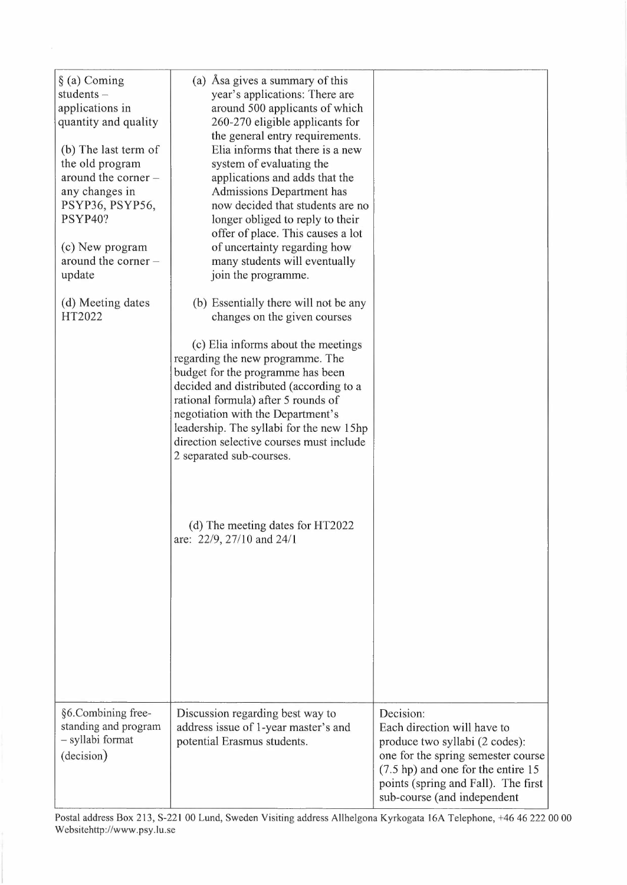| $\S$ (a) Coming<br>students-<br>applications in<br>quantity and quality<br>(b) The last term of<br>the old program<br>around the corner -<br>any changes in<br>PSYP36, PSYP56,<br>PSYP40?<br>(c) New program<br>around the corner $-$<br>update<br>(d) Meeting dates<br>HT2022 | (a) Asa gives a summary of this<br>year's applications: There are<br>around 500 applicants of which<br>260-270 eligible applicants for<br>the general entry requirements.<br>Elia informs that there is a new<br>system of evaluating the<br>applications and adds that the<br><b>Admissions Department has</b><br>now decided that students are no<br>longer obliged to reply to their<br>offer of place. This causes a lot<br>of uncertainty regarding how<br>many students will eventually<br>join the programme.<br>(b) Essentially there will not be any<br>changes on the given courses<br>(c) Elia informs about the meetings<br>regarding the new programme. The<br>budget for the programme has been<br>decided and distributed (according to a<br>rational formula) after 5 rounds of<br>negotiation with the Department's<br>leadership. The syllabi for the new 15hp<br>direction selective courses must include<br>2 separated sub-courses.<br>(d) The meeting dates for HT2022<br>are: 22/9, 27/10 and 24/1 |                                                                                                                                                                                                                                        |
|--------------------------------------------------------------------------------------------------------------------------------------------------------------------------------------------------------------------------------------------------------------------------------|---------------------------------------------------------------------------------------------------------------------------------------------------------------------------------------------------------------------------------------------------------------------------------------------------------------------------------------------------------------------------------------------------------------------------------------------------------------------------------------------------------------------------------------------------------------------------------------------------------------------------------------------------------------------------------------------------------------------------------------------------------------------------------------------------------------------------------------------------------------------------------------------------------------------------------------------------------------------------------------------------------------------------|----------------------------------------------------------------------------------------------------------------------------------------------------------------------------------------------------------------------------------------|
| §6.Combining free-<br>standing and program<br>- syllabi format<br>(decision)                                                                                                                                                                                                   | Discussion regarding best way to<br>address issue of 1-year master's and<br>potential Erasmus students.                                                                                                                                                                                                                                                                                                                                                                                                                                                                                                                                                                                                                                                                                                                                                                                                                                                                                                                   | Decision:<br>Each direction will have to<br>produce two syllabi (2 codes):<br>one for the spring semester course<br>$(7.5 \text{ hp})$ and one for the entire 15<br>points (spring and Fall). The first<br>sub-course (and independent |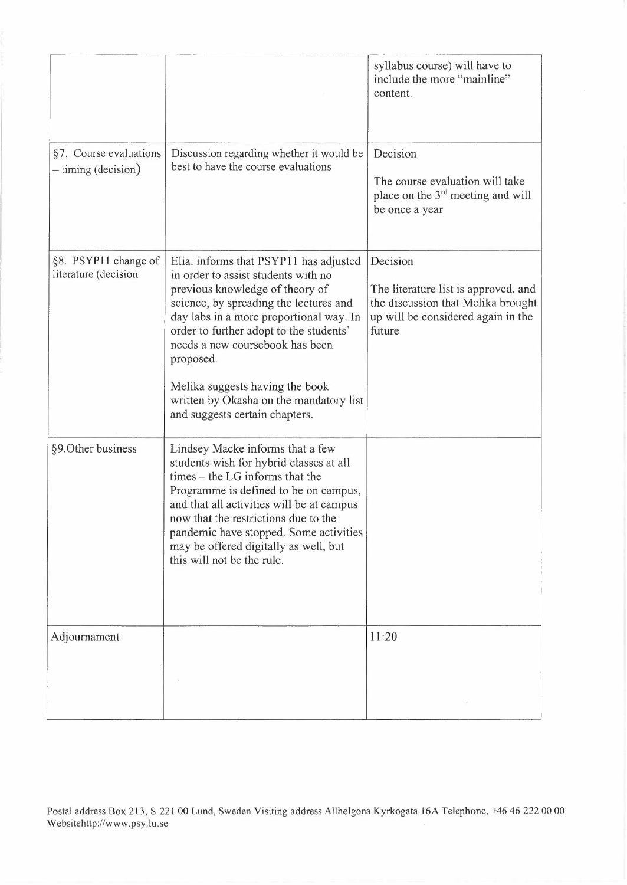|                                                 |                                                                                                                                                                                                                                                                                                                                                               | syllabus course) will have to<br>include the more "mainline"<br>content.                                                               |
|-------------------------------------------------|---------------------------------------------------------------------------------------------------------------------------------------------------------------------------------------------------------------------------------------------------------------------------------------------------------------------------------------------------------------|----------------------------------------------------------------------------------------------------------------------------------------|
| §7. Course evaluations<br>$-$ timing (decision) | Discussion regarding whether it would be<br>best to have the course evaluations                                                                                                                                                                                                                                                                               | Decision<br>The course evaluation will take<br>place on the 3 <sup>rd</sup> meeting and will<br>be once a year                         |
| §8. PSYP11 change of<br>literature (decision    | Elia. informs that PSYP11 has adjusted<br>in order to assist students with no<br>previous knowledge of theory of<br>science, by spreading the lectures and<br>day labs in a more proportional way. In<br>order to further adopt to the students'<br>needs a new coursebook has been<br>proposed.                                                              | Decision<br>The literature list is approved, and<br>the discussion that Melika brought<br>up will be considered again in the<br>future |
|                                                 | Melika suggests having the book<br>written by Okasha on the mandatory list<br>and suggests certain chapters.                                                                                                                                                                                                                                                  |                                                                                                                                        |
| §9. Other business                              | Lindsey Macke informs that a few<br>students wish for hybrid classes at all<br>times – the LG informs that the<br>Programme is defined to be on campus,<br>and that all activities will be at campus<br>now that the restrictions due to the<br>pandemic have stopped. Some activities<br>may be offered digitally as well, but<br>this will not be the rule. |                                                                                                                                        |
| Adjournament                                    |                                                                                                                                                                                                                                                                                                                                                               | 11:20                                                                                                                                  |
|                                                 |                                                                                                                                                                                                                                                                                                                                                               |                                                                                                                                        |